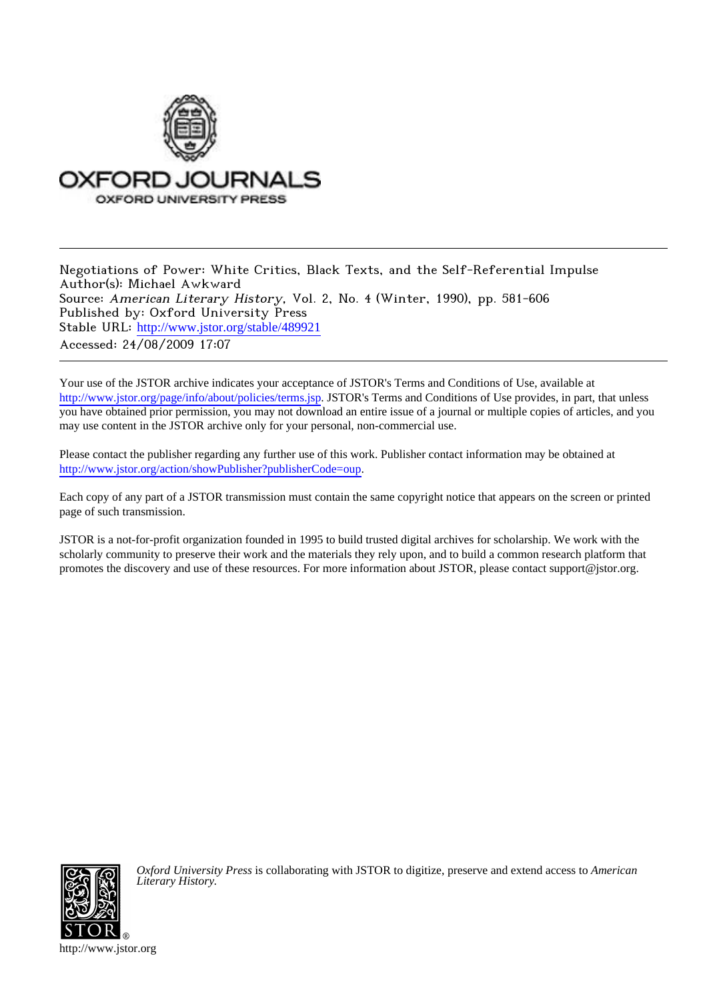

Negotiations of Power: White Critics, Black Texts, and the Self-Referential Impulse Author(s): Michael Awkward Source: American Literary History, Vol. 2, No. 4 (Winter, 1990), pp. 581-606 Published by: Oxford University Press Stable URL: [http://www.jstor.org/stable/489921](http://www.jstor.org/stable/489921?origin=JSTOR-pdf) Accessed: 24/08/2009 17:07

Your use of the JSTOR archive indicates your acceptance of JSTOR's Terms and Conditions of Use, available at <http://www.jstor.org/page/info/about/policies/terms.jsp>. JSTOR's Terms and Conditions of Use provides, in part, that unless you have obtained prior permission, you may not download an entire issue of a journal or multiple copies of articles, and you may use content in the JSTOR archive only for your personal, non-commercial use.

Please contact the publisher regarding any further use of this work. Publisher contact information may be obtained at [http://www.jstor.org/action/showPublisher?publisherCode=oup.](http://www.jstor.org/action/showPublisher?publisherCode=oup)

Each copy of any part of a JSTOR transmission must contain the same copyright notice that appears on the screen or printed page of such transmission.

JSTOR is a not-for-profit organization founded in 1995 to build trusted digital archives for scholarship. We work with the scholarly community to preserve their work and the materials they rely upon, and to build a common research platform that promotes the discovery and use of these resources. For more information about JSTOR, please contact support@jstor.org.



*Oxford University Press* is collaborating with JSTOR to digitize, preserve and extend access to *American Literary History.*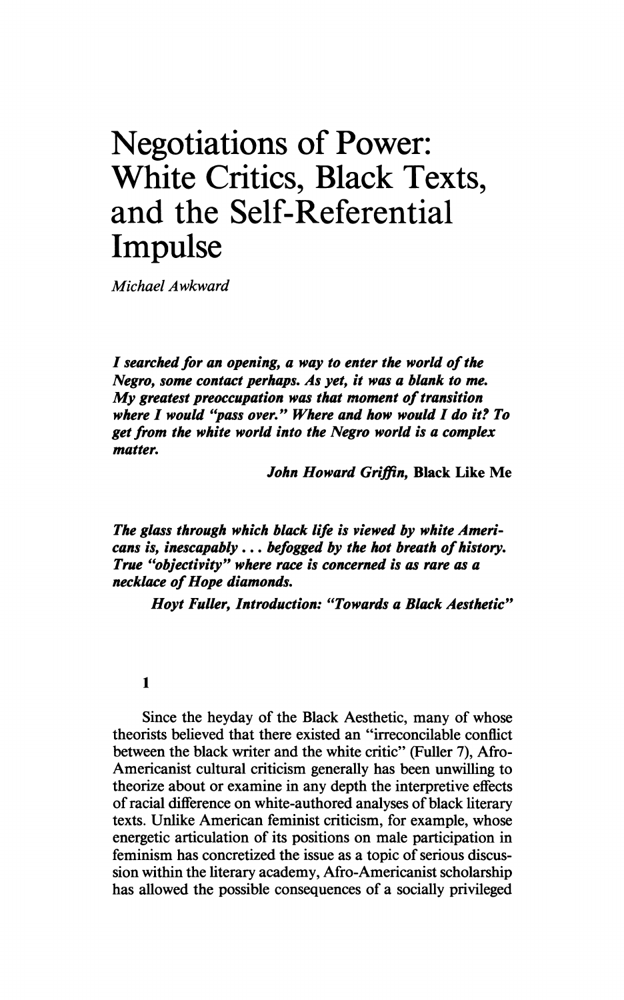# **Negotiations of Power: White Critics, Black Texts, and the Self-Referential Impulse**

**Michael Awkward** 

**I searched for an opening, a way to enter the world of the Negro, some contact perhaps. As yet, it was a blank to me. My greatest preoccupation was that moment of transition where I would "pass over." Where and how would I do it? To get from the white world into the Negro world is a complex matter.** 

**John Howard Griffin, Black Like Me** 

**The glass through which black life is viewed by white Americans is, inescapably... befogged by the hot breath of history. True "objectivity" where race is concerned is as rare as a necklace of Hope diamonds.** 

**Hoyt Fuller, Introduction: "Towards a Black Aesthetic"** 

## $\mathbf{1}$

**Since the heyday of the Black Aesthetic, many of whose theorists believed that there existed an "irreconcilable conflict between the black writer and the white critic" (Fuller 7), Afro-Americanist cultural criticism generally has been unwilling to theorize about or examine in any depth the interpretive effects of racial difference on white-authored analyses of black literary texts. Unlike American feminist criticism, for example, whose energetic articulation of its positions on male participation in feminism has concretized the issue as a topic of serious discussion within the literary academy, Afro-Americanist scholarship has allowed the possible consequences of a socially privileged**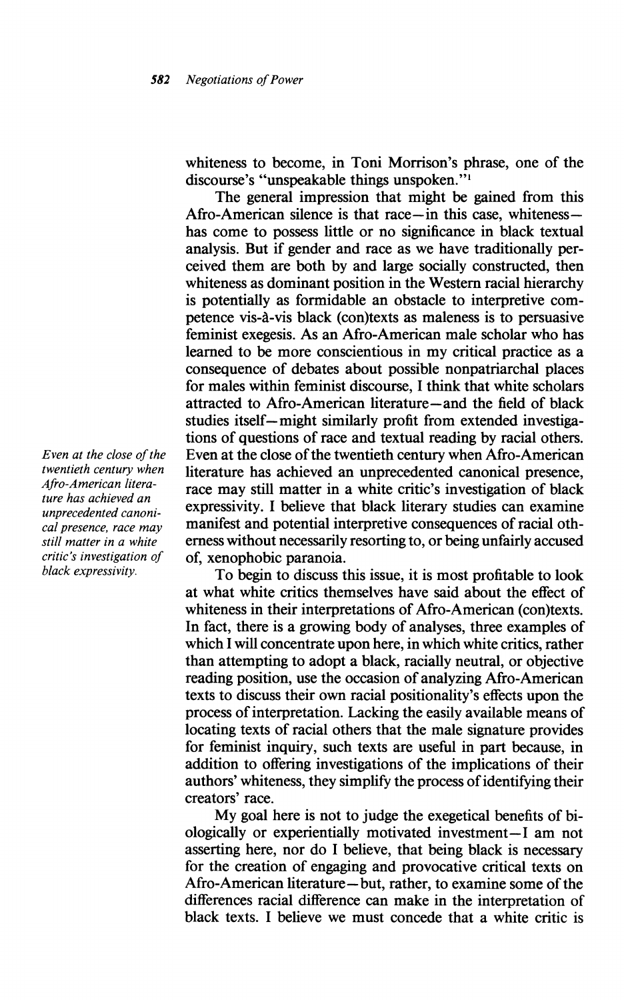**whiteness to become, in Toni Morrison's phrase, one of the discourse's "unspeakable things unspoken."'** 

**The general impression that might be gained from this Afro-American silence is that race-in this case, whitenesshas come to possess little or no significance in black textual analysis. But if gender and race as we have traditionally perceived them are both by and large socially constructed, then whiteness as dominant position in the Western racial hierarchy is potentially as formidable an obstacle to interpretive competence vis-A-vis black (con)texts as maleness is to persuasive feminist exegesis. As an Afro-American male scholar who has learned to be more conscientious in my critical practice as a consequence of debates about possible nonpatriarchal places for males within feminist discourse, I think that white scholars attracted to Afro-American literature-and the field of black studies itself-might similarly profit from extended investigations of questions of race and textual reading by racial others. Even at the close of the twentieth century when Afro-American literature has achieved an unprecedented canonical presence, race may still matter in a white critic's investigation of black expressivity. I believe that black literary studies can examine manifest and potential interpretive consequences of racial otherness without necessarily resorting to, or being unfairly accused of, xenophobic paranoia.** 

**To begin to discuss this issue, it is most profitable to look at what white critics themselves have said about the effect of whiteness in their interpretations of Afro-American (con)texts. In fact, there is a growing body of analyses, three examples of which I will concentrate upon here, in which white critics, rather than attempting to adopt a black, racially neutral, or objective reading position, use the occasion of analyzing Afro-American texts to discuss their own racial positionality's effects upon the process of interpretation. Lacking the easily available means of locating texts of racial others that the male signature provides for feminist inquiry, such texts are useful in part because, in addition to offering investigations of the implications of their authors' whiteness, they simplify the process of identifying their creators' race.** 

**My goal here is not to judge the exegetical benefits of biologically or experientially motivated investment-I am not asserting here, nor do I believe, that being black is necessary for the creation of engaging and provocative critical texts on Afro-American literature-but, rather, to examine some of the differences racial difference can make in the interpretation of black texts. I believe we must concede that a white critic is** 

**Even at the close of the twentieth century when Afro-American literature has achieved an unprecedented canonical presence, race may still matter in a white critic's investigation of black expressivity.**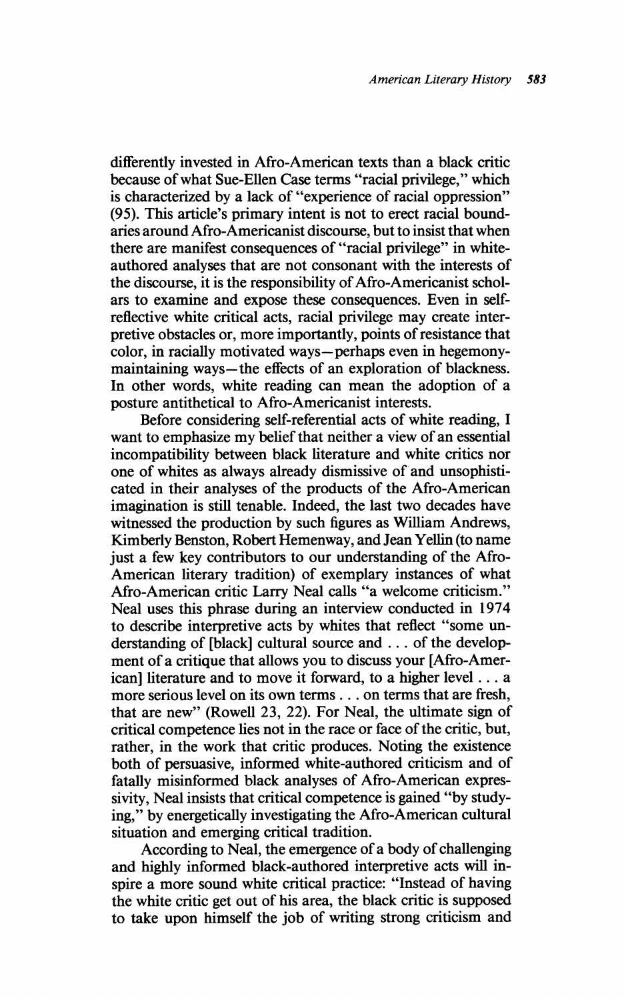**differently invested in Afro-American texts than a black critic because of what Sue-Ellen Case terms "racial privilege," which is characterized by a lack of "experience of racial oppression" (95). This article's primary intent is not to erect racial boundaries around Afro-Americanist discourse, but to insist that when there are manifest consequences of "racial privilege" in whiteauthored analyses that are not consonant with the interests of the discourse, it is the responsibility of Afro-Americanist scholars to examine and expose these consequences. Even in selfreflective white critical acts, racial privilege may create interpretive obstacles or, more importantly, points of resistance that color, in racially motivated ways-perhaps even in hegemonymaintaining ways-the effects of an exploration of blackness. In other words, white reading can mean the adoption of a posture antithetical to Afro-Americanist interests.** 

**Before considering self-referential acts of white reading, I want to emphasize my belief that neither a view of an essential incompatibility between black literature and white critics nor one of whites as always already dismissive of and unsophisticated in their analyses of the products of the Afro-American imagination is still tenable. Indeed, the last two decades have witnessed the production by such figures as William Andrews, Kimberly Benston, Robert Hemenway, and Jean Yellin (to name just a few key contributors to our understanding of the Afro-American literary tradition) of exemplary instances of what Afro-American critic Larry Neal calls "a welcome criticism." Neal uses this phrase during an interview conducted in 1974 to describe interpretive acts by whites that reflect "some understanding of [black] cultural source and ... of the development of a critique that allows you to discuss your [Afro-American] literature and to move it forward, to a higher level ... a more serious level on its own terms... on terms that are fresh, that are new" (Rowell 23, 22). For Neal, the ultimate sign of critical competence lies not in the race or face of the critic, but, rather, in the work that critic produces. Noting the existence both of persuasive, informed white-authored criticism and of fatally misinformed black analyses of Afro-American expressivity, Neal insists that critical competence is gained "by studying," by energetically investigating the Afro-American cultural situation and emerging critical tradition.** 

**According to Neal, the emergence of a body of challenging and highly informed black-authored interpretive acts will inspire a more sound white critical practice: "Instead of having the white critic get out of his area, the black critic is supposed to take upon himself the job of writing strong criticism and**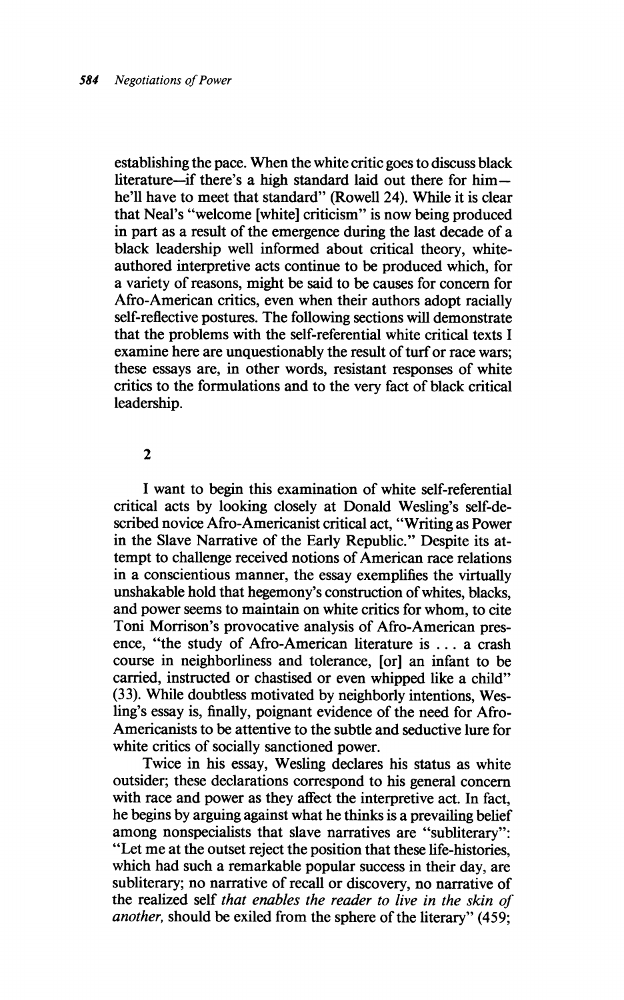**establishing the pace. When the white critic goes to discuss black literature-if there's a high standard laid out there for himhe'll have to meet that standard" (Rowell 24). While it is clear that Neal's "welcome [white] criticism" is now being produced in part as a result of the emergence during the last decade of a black leadership well informed about critical theory, whiteauthored interpretive acts continue to be produced which, for a variety of reasons, might be said to be causes for concern for Afro-American critics, even when their authors adopt racially self-reflective postures. The following sections will demonstrate that the problems with the self-referential white critical texts I examine here are unquestionably the result of turf or race wars; these essays are, in other words, resistant responses of white critics to the formulations and to the very fact of black critical leadership.** 

## **2**

**I want to begin this examination of white self-referential critical acts by looking closely at Donald Wesling's self-described novice Afro-Americanist critical act, "Writing as Power in the Slave Narrative of the Early Republic." Despite its attempt to challenge received notions of American race relations in a conscientious manner, the essay exemplifies the virtually unshakable hold that hegemony's construction of whites, blacks, and power seems to maintain on white critics for whom, to cite Toni Morrison's provocative analysis of Afro-American presence, "the study of Afro-American literature is ... a crash course in neighborliness and tolerance, [or] an infant to be carried, instructed or chastised or even whipped like a child" (33). While doubtless motivated by neighborly intentions, Wesling's essay is, finally, poignant evidence of the need for Afro-Americanists to be attentive to the subtle and seductive lure for white critics of socially sanctioned power.** 

**Twice in his essay, Wesling declares his status as white outsider; these declarations correspond to his general concern with race and power as they affect the interpretive act. In fact, he begins by arguing against what he thinks is a prevailing belief among nonspecialists that slave narratives are "subliterary": "Let me at the outset reject the position that these life-histories, which had such a remarkable popular success in their day, are subliterary; no narrative of recall or discovery, no narrative of the realized self that enables the reader to live in the skin of another, should be exiled from the sphere of the literary" (459;**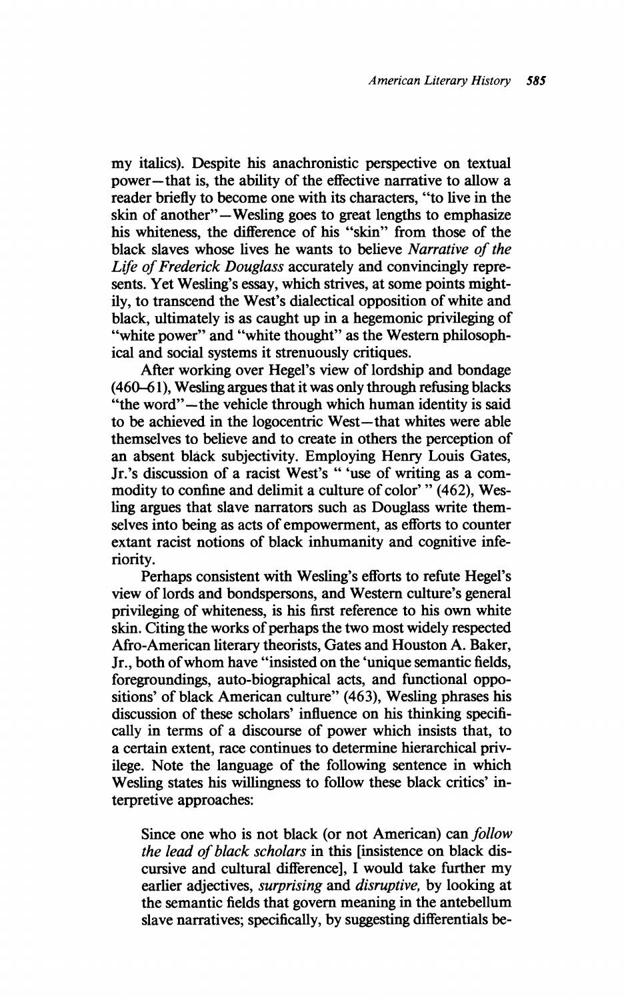**my italics). Despite his anachronistic perspective on textual power-that is, the ability of the effective narrative to allow a reader briefly to become one with its characters, "to live in the skin of another"-Wesling goes to great lengths to emphasize his whiteness, the difference of his "skin" from those of the black slaves whose lives he wants to believe Narrative of the Life of Frederick Douglass accurately and convincingly represents. Yet Wesling's essay, which strives, at some points mightily, to transcend the West's dialectical opposition of white and black, ultimately is as caught up in a hegemonic privileging of "white power" and "white thought" as the Western philosophical and social systems it strenuously critiques.** 

**After working over Hegel's view of lordship and bondage (460-61), Wesling argues that it was only through refitsing blacks "the word"-the vehicle through which human identity is said to be achieved in the logocentric West-that whites were able themselves to believe and to create in others the perception of an absent black subjectivity. Employing Henry Louis Gates, Jr.'s discussion of a racist West's " 'use of writing as a commodity to confine and delimit a culture of color' " (462), Wesling argues that slave narrators such as Douglass write themselves into being as acts of empowerment, as efforts to counter extant racist notions of black inhumanity and cognitive inferiority.** 

**Perhaps consistent with Wesling's efforts to refute Hegel's view of lords and bondspersons, and Western culture's general privileging of whiteness, is his first reference to his own white skin. Citing the works of perhaps the two most widely respected Afro-American literary theorists, Gates and Houston A. Baker, Jr., both of whom have "insisted on the 'unique semantic fields, foregroundings, auto-biographical acts, and functional oppositions' of black American culture" (463), Wesling phrases his discussion of these scholars' influence on his thinking specifically in terms of a discourse of power which insists that, to a certain extent, race continues to determine hierarchical privilege. Note the language of the following sentence in which Wesling states his willingness to follow these black critics' interpretive approaches:** 

**Since one who is not black (or not American) can follow the lead of black scholars in this [insistence on black discursive and cultural difference], I would take further my earlier adjectives, surprising and disruptive, by looking at the semantic fields that govern meaning in the antebellum slave narratives; specifically, by suggesting differentials be-**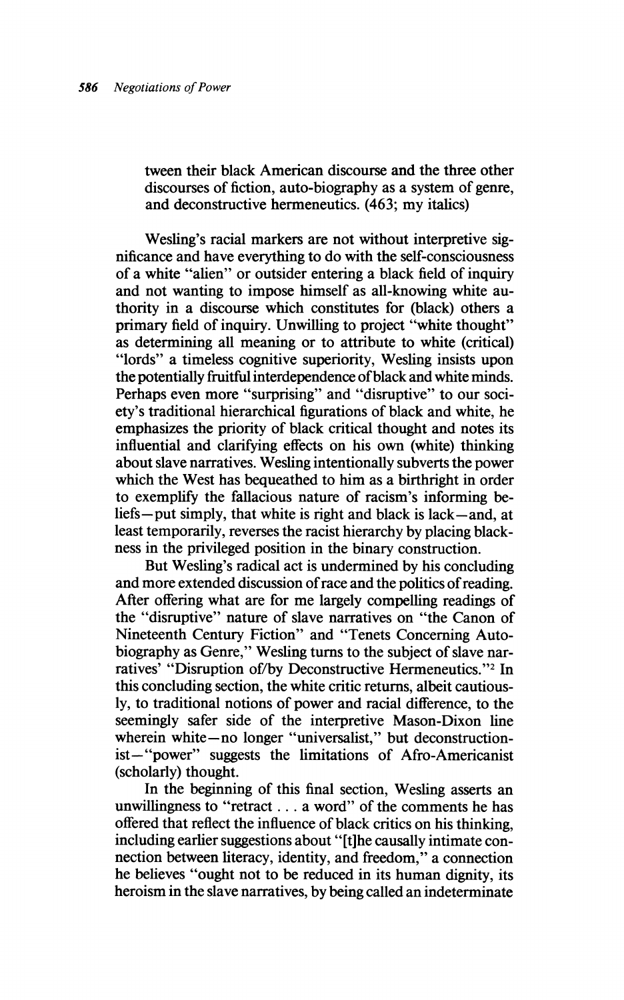**tween their black American discourse and the three other discourses of fiction, auto-biography as a system of genre, and deconstructive hermeneutics. (463; my italics)** 

**Wesling's racial markers are not without interpretive significance and have everything to do with the self-consciousness of a white "alien" or outsider entering a black field of inquiry and not wanting to impose himself as all-knowing white authority in a discourse which constitutes for (black) others a primary field of inquiry. Unwilling to project "white thought" as determining all meaning or to attribute to white (critical) "lords" a timeless cognitive superiority, Wesling insists upon the potentially fruitful interdependence of black and white minds.**  Perhaps even more "surprising" and "disruptive" to our soci**ety's traditional hierarchical figurations of black and white, he emphasizes the priority of black critical thought and notes its influential and clarifying effects on his own (white) thinking about slave narratives. Wesling intentionally subverts the power which the West has bequeathed to him as a birthright in order to exemplify the fallacious nature of racism's informing beliefs-put simply, that white is right and black is lack-and, at least temporarily, reverses the racist hierarchy by placing blackness in the privileged position in the binary construction.** 

**But Wesling's radical act is undermined by his concluding and more extended discussion of race and the politics of reading. After offering what are for me largely compelling readings of the "disruptive" nature of slave narratives on "the Canon of Nineteenth Century Fiction" and "Tenets Concerning Autobiography as Genre," Wesling turns to the subject of slave narratives' "Disruption of/by Deconstructive Hermeneutics."2 In this concluding section, the white critic returns, albeit cautiously, to traditional notions of power and racial difference, to the seemingly safer side of the interpretive Mason-Dixon line**  wherein white-no longer "universalist," but deconstruction**ist-"power" suggests the limitations of Afro-Americanist (scholarly) thought.** 

**In the beginning of this final section, Wesling asserts an unwillingness to "retract ... a word" of the comments he has offered that reflect the influence of black critics on his thinking, including earlier suggestions about "[t]he causally intimate connection between literacy, identity, and freedom," a connection he believes "ought not to be reduced in its human dignity, its heroism in the slave narratives, by being called an indeterminate**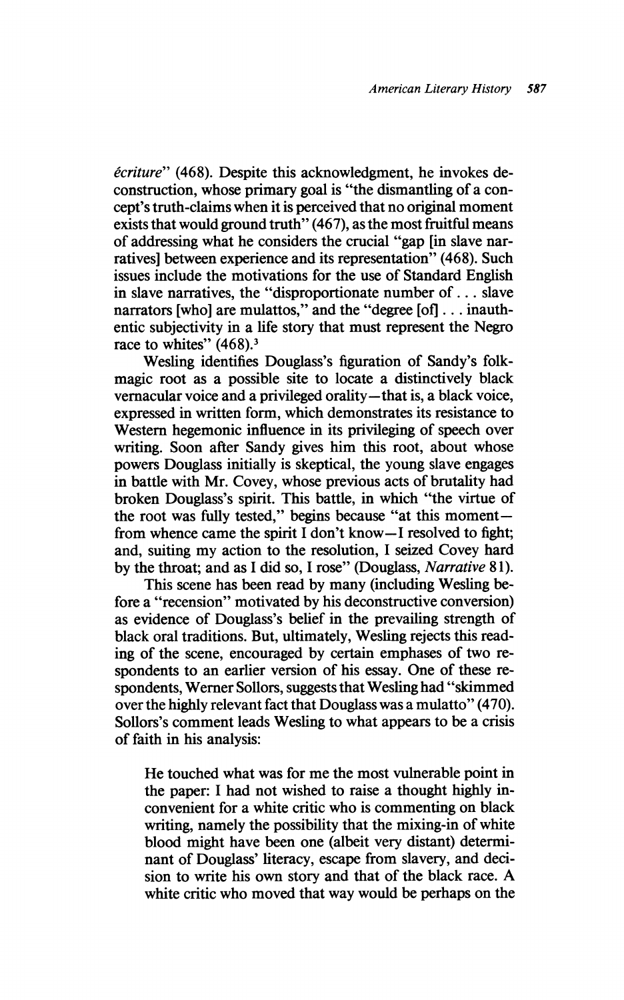**ecriture" (468). Despite this acknowledgment, he invokes deconstruction, whose primary goal is "the dismantling of a concept's truth-claims when it is perceived that no original moment exists that would ground truth" (467), as the most fruitful means of addressing what he considers the crucial "gap [in slave narratives] between experience and its representation" (468). Such issues include the motivations for the use of Standard English in slave narratives, the "disproportionate number of... slave**  narrators [who] are mulattos," and the "degree [of] . . . inauth**entic subjectivity in a life story that must represent the Negro race to whites" (468).3** 

**Wesling identifies Douglass's figuration of Sandy's folkmagic root as a possible site to locate a distinctively black vernacular voice and a privileged orality--that is, a black voice, expressed in written form, which demonstrates its resistance to Western hegemonic influence in its privileging of speech over writing. Soon after Sandy gives him this root, about whose powers Douglass initially is skeptical, the young slave engages in battle with Mr. Covey, whose previous acts of brutality had broken Douglass's spirit. This battle, in which "the virtue of the root was fully tested," begins because "at this momentfrom whence came the spirit I don't know-I resolved to fight; and, suiting my action to the resolution, I seized Covey hard by the throat; and as I did so, I rose" (Douglass, Narrative 81).** 

**This scene has been read by many (including Wesling before a "recension" motivated by his deconstructive conversion) as evidence of Douglass's belief in the prevailing strength of black oral traditions. But, ultimately, Wesling rejects this reading of the scene, encouraged by certain emphases of two respondents to an earlier version of his essay. One of these respondents, Werner Sollors, suggests that Wesling had "skimmed over the highly relevant fact that Douglass was a mulatto" (470). Sollors's comment leads Wesling to what appears to be a crisis of faith in his analysis:** 

**He touched what was for me the most vulnerable point in the paper: I had not wished to raise a thought highly inconvenient for a white critic who is commenting on black writing, namely the possibility that the mixing-in of white blood might have been one (albeit very distant) determinant of Douglass' literacy, escape from slavery, and decision to write his own story and that of the black race. A white critic who moved that way would be perhaps on the**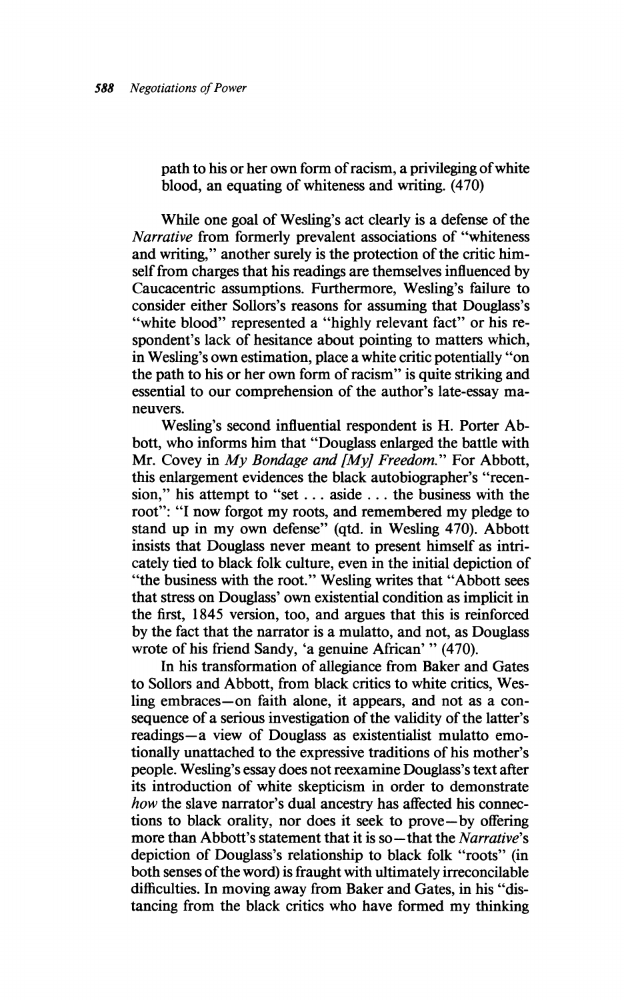**path to his or her own form of racism, a privileging of white blood, an equating of whiteness and writing. (470)** 

**While one goal of Wesling's act clearly is a defense of the Narrative from formerly prevalent associations of "whiteness and writing," another surely is the protection of the critic himself from charges that his readings are themselves influenced by Caucacentric assumptions. Furthermore, Wesling's failure to consider either Sollors's reasons for assuming that Douglass's "white blood" represented a "highly relevant fact" or his respondent's lack of hesitance about pointing to matters which, in Wesling's own estimation, place a white critic potentially "on the path to his or her own form of racism" is quite striking and essential to our comprehension of the author's late-essay maneuvers.** 

**Wesling's second influential respondent is H. Porter Abbott, who informs him that "Douglass enlarged the battle with Mr. Covey in My Bondage and [My] Freedom." For Abbott, this enlargement evidences the black autobiographer's "recension," his attempt to "set ... aside ... the business with the root": "I now forgot my roots, and remembered my pledge to stand up in my own defense" (qtd. in Wesling 470). Abbott insists that Douglass never meant to present himself as intricately tied to black folk culture, even in the initial depiction of "the business with the root." Wesling writes that "Abbott sees that stress on Douglass' own existential condition as implicit in the first, 1845 version, too, and argues that this is reinforced by the fact that the narrator is a mulatto, and not, as Douglass wrote of his friend Sandy, 'a genuine African' " (470).** 

**In his transformation of allegiance from Baker and Gates to Sollors and Abbott, from black critics to white critics, Wesling embraces-on faith alone, it appears, and not as a consequence of a serious investigation of the validity of the latter's readings-a view of Douglass as existentialist mulatto emotionally unattached to the expressive traditions of his mother's people. Wesling's essay does not reexamine Douglass's text after its introduction of white skepticism in order to demonstrate how the slave narrator's dual ancestry has affected his connections to black orality, nor does it seek to prove-by offering**  more than Abbott's statement that it is so—that the *Narrative*'s **depiction of Douglass's relationship to black folk "roots" (in both senses of the word) is fraught with ultimately irreconcilable difficulties. In moving away from Baker and Gates, in his "distancing from the black critics who have formed my thinking**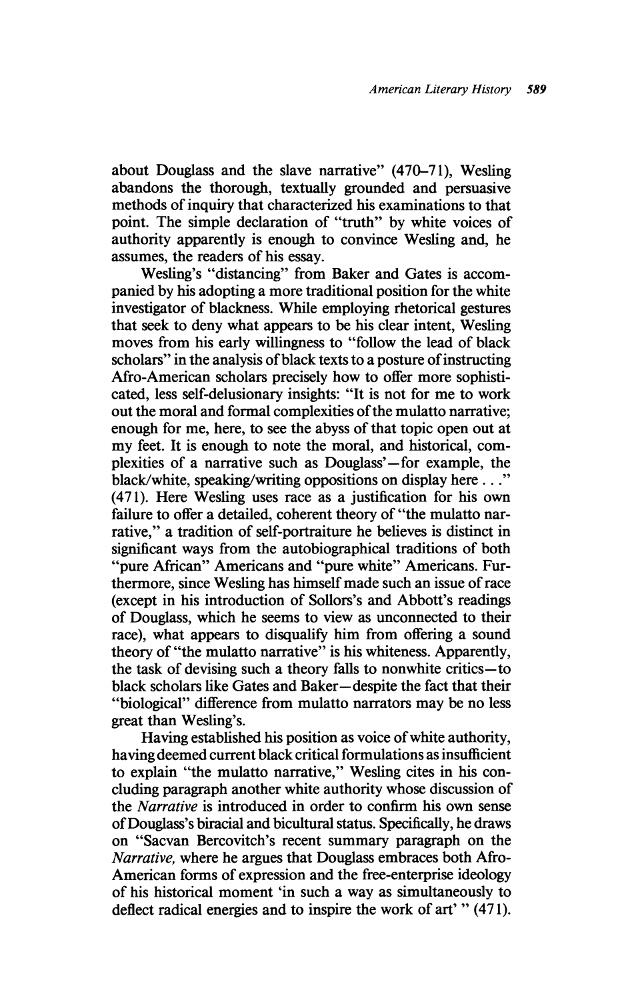**about Douglass and the slave narrative" (470-71), Wesling abandons the thorough, textually grounded and persuasive methods of inquiry that characterized his examinations to that point. The simple declaration of "truth" by white voices of authority apparently is enough to convince Wesling and, he assumes, the readers of his essay.** 

**Wesling's "distancing" from Baker and Gates is accompanied by his adopting a more traditional position for the white investigator of blackness. While employing rhetorical gestures that seek to deny what appears to be his clear intent, Wesling moves from his early willingness to "follow the lead of black scholars" in the analysis of black texts to a posture of instructing Afro-American scholars precisely how to offer more sophisticated, less self-delusionary insights: "It is not for me to work out the moral and formal complexities of the mulatto narrative; enough for me, here, to see the abyss of that topic open out at my feet. It is enough to note the moral, and historical, com**plexities of a narrative such as Douglass'—for example, the **black/white, speaking/writing oppositions on display here ..." (471). Here Wesling uses race as a justification for his own failure to offer a detailed, coherent theory of "the mulatto narrative," a tradition of self-portraiture he believes is distinct in significant ways from the autobiographical traditions of both "pure African" Americans and "pure white" Americans. Furthermore, since Wesling has himself made such an issue of race (except in his introduction of Sollors's and Abbott's readings of Douglass, which he seems to view as unconnected to their race), what appears to disqualify him from offering a sound theory of "the mulatto narrative" is his whiteness. Apparently, the task of devising such a theory falls to nonwhite critics-to black scholars like Gates and Baker-despite the fact that their "biological" difference from mulatto narrators may be no less great than Wesling's.** 

**Having established his position as voice of white authority, having deemed current black critical formulations as insufficient to explain "the mulatto narrative," Wesling cites in his concluding paragraph another white authority whose discussion of the Narrative is introduced in order to confirm his own sense of Douglass's biracial and bicultural status. Specifically, he draws on "Sacvan Bercovitch's recent summary paragraph on the Narrative, where he argues that Douglass embraces both Afro-American forms of expression and the free-enterprise ideology of his historical moment 'in such a way as simultaneously to deflect radical energies and to inspire the work of art' " (471).**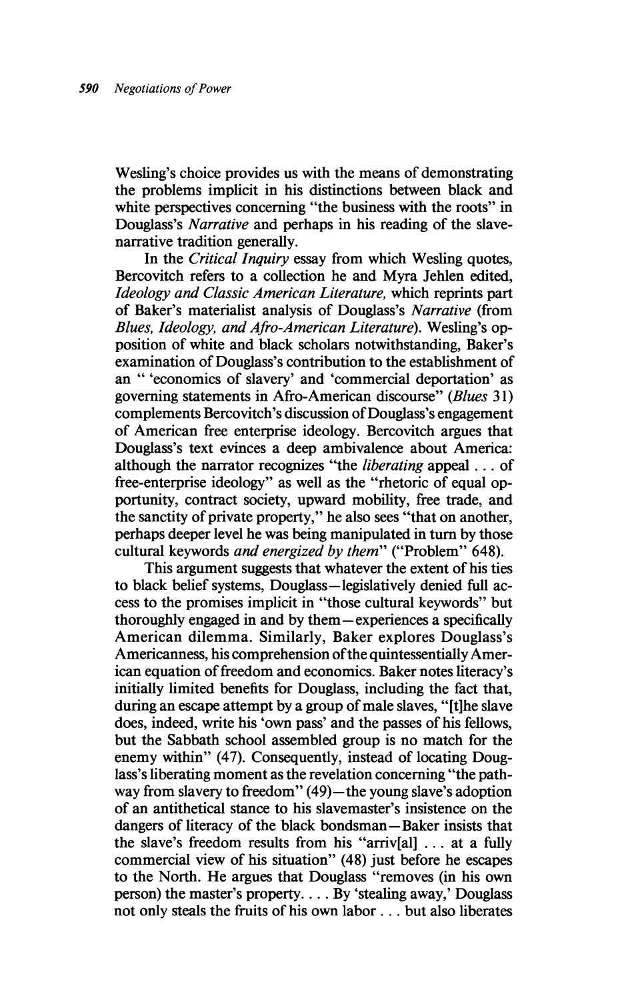**Wesling's choice provides us with the means of demonstrating the problems implicit in his distinctions between black and white perspectives concerning "the business with the roots" in Douglass's Narrative and perhaps in his reading of the slavenarrative tradition generally.** 

**In the Critical Inquiry essay from which Wesling quotes, Bercovitch refers to a collection he and Myra Jehlen edited, Ideology and Classic American Literature, which reprints part of Baker's materialist analysis of Douglass's Narrative (from Blues, Ideology, and Afro-American Literature). Wesling's opposition of white and black scholars notwithstanding, Baker's examination of Douglass's contribution to the establishment of an "'economics of slavery' and 'commercial deportation' as governing statements in Afro-American discourse" (Blues 31) complements Bercovitch's discussion of Douglass's engagement of American free enterprise ideology. Bercovitch argues that Douglass's text evinces a deep ambivalence about America: although the narrator recognizes "the liberating appeal ... of free-enterprise ideology" as well as the "rhetoric of equal opportunity, contract society, upward mobility, free trade, and the sanctity of private property," he also sees "that on another, perhaps deeper level he was being manipulated in turn by those cultural keywords and energized by them" ("Problem" 648).** 

**This argument suggests that whatever the extent of his ties to black belief systems, Douglass-legislatively denied full access to the promises implicit in "those cultural keywords" but thoroughly engaged in and by them-experiences a specifically American dilemma. Similarly, Baker explores Douglass's Americanness, his comprehension of the quintessentially American equation of freedom and economics. Baker notes literacy's initially limited benefits for Douglass, including the fact that, during an escape attempt by a group of male slaves, "[t]he slave does, indeed, write his 'own pass' and the passes of his fellows, but the Sabbath school assembled group is no match for the enemy within" (47). Consequently, instead of locating Douglass's liberating moment as the revelation concerning "the path**way from slavery to freedom" (49)—the young slave's adoption **of an antithetical stance to his slavemaster's insistence on the dangers of literacy of the black bondsman-Baker insists that the slave's freedom results from his "arriv[al] ... at a fully commercial view of his situation" (48) just before he escapes to the North. He argues that Douglass "removes (in his own person) the master's property.... By 'stealing away,' Douglass not only steals the fruits of his own labor ... but also liberates**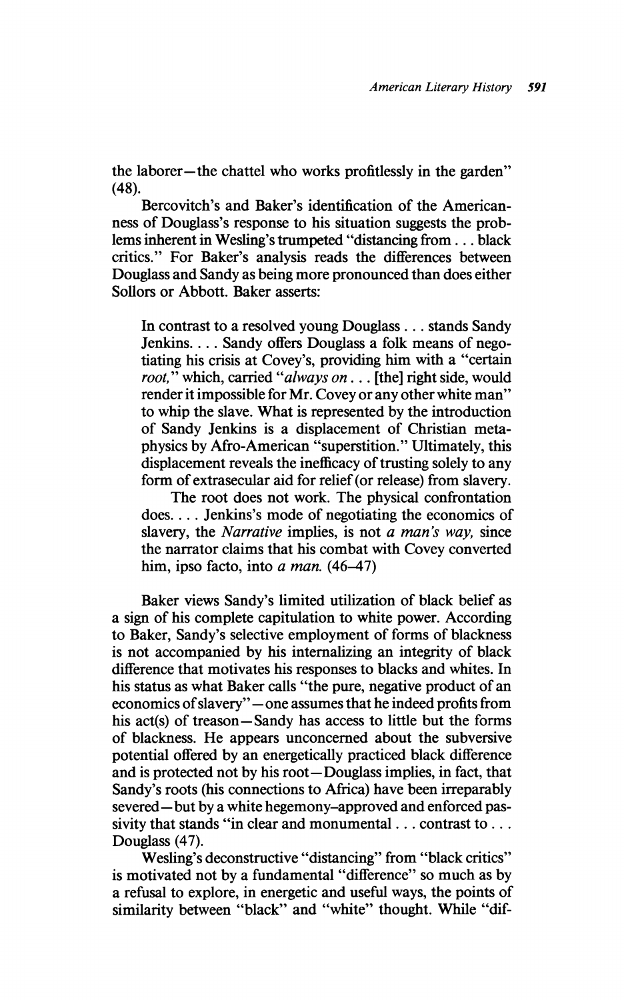**the laborer-the chattel who works profitlessly in the garden" (48).** 

**Bercovitch's and Baker's identification of the Americanness of Douglass's response to his situation suggests the problems inherent in Wesling's trumpeted "distancing from... black critics." For Baker's analysis reads the differences between Douglass and Sandy as being more pronounced than does either Sollors or Abbott. Baker asserts:** 

**In contrast to a resolved young Douglass ... stands Sandy Jenkins.... Sandy offers Douglass a folk means of negotiating his crisis at Covey's, providing him with a "certain root," which, carried "always on... [the] right side, would render it impossible for Mr. Covey or any other white man" to whip the slave. What is represented by the introduction of Sandy Jenkins is a displacement of Christian metaphysics by Afro-American "superstition." Ultimately, this displacement reveals the inefficacy of trusting solely to any form of extrasecular aid for relief (or release) from slavery.** 

**The root does not work. The physical confrontation does.... Jenkins's mode of negotiating the economics of slavery, the Narrative implies, is not a man's way, since the narrator claims that his combat with Covey converted him, ipso facto, into a man. (46-47)** 

**Baker views Sandy's limited utilization of black belief as a sign of his complete capitulation to white power. According to Baker, Sandy's selective employment of forms of blackness is not accompanied by his internalizing an integrity of black difference that motivates his responses to blacks and whites. In his status as what Baker calls "the pure, negative product of an economics of slavery" - one assumes that he indeed profits from his act(s) of treason-Sandy has access to little but the forms of blackness. He appears unconcerned about the subversive potential offered by an energetically practiced black difference and is protected not by his root-Douglass implies, in fact, that Sandy's roots (his connections to Africa) have been irreparably severed-but by a white hegemony-approved and enforced passivity that stands "in clear and monumental... contrast to... Douglass (47).** 

**Wesling's deconstructive "distancing" from "black critics" is motivated not by a fundamental "difference" so much as by a refusal to explore, in energetic and useful ways, the points of similarity between "black" and "white" thought. While "dif-**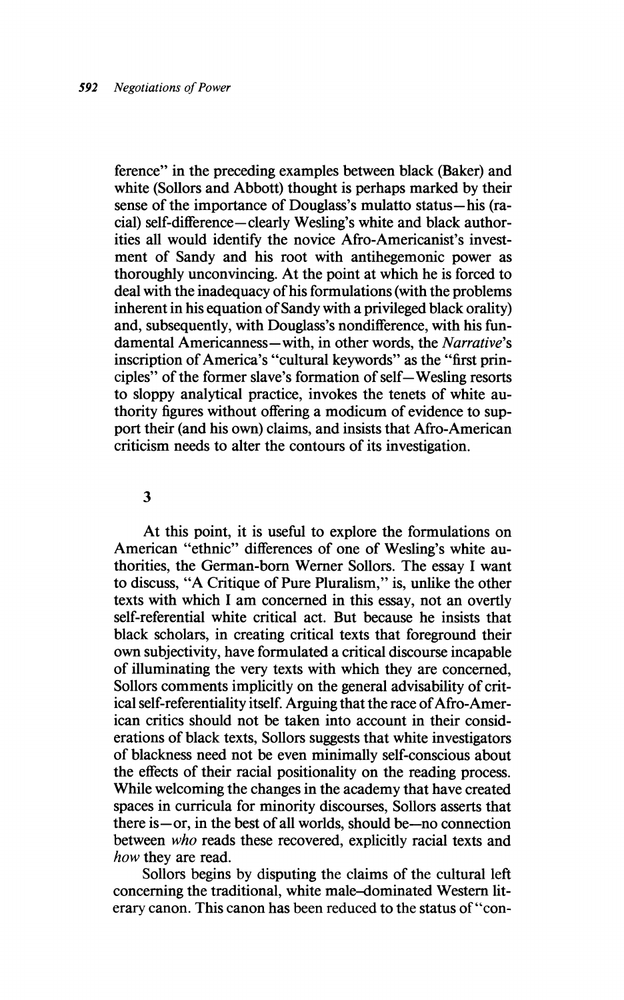**ference" in the preceding examples between black (Baker) and white (Sollors and Abbott) thought is perhaps marked by their sense of the importance of Douglass's mulatto status-his (racial) self-difference-clearly Wesling's white and black authorities all would identify the novice Afro-Americanist's investment of Sandy and his root with antihegemonic power as thoroughly unconvincing. At the point at which he is forced to deal with the inadequacy of his formulations (with the problems inherent in his equation of Sandy with a privileged black orality) and, subsequently, with Douglass's nondifference, with his fundamental Americanness- with, in other words, the Narrative's inscription of America's "cultural keywords" as the "first principles" of the former slave's formation of self-Wesling resorts to sloppy analytical practice, invokes the tenets of white authority figures without offering a modicum of evidence to support their (and his own) claims, and insists that Afro-American criticism needs to alter the contours of its investigation.** 

#### **3**

**At this point, it is useful to explore the formulations on American "ethnic" differences of one of Wesling's white authorities, the German-born Werner Sollors. The essay I want to discuss, "A Critique of Pure Pluralism," is, unlike the other texts with which I am concerned in this essay, not an overtly self-referential white critical act. But because he insists that black scholars, in creating critical texts that foreground their own subjectivity, have formulated a critical discourse incapable of illuminating the very texts with which they are concerned, Sollors comments implicitly on the general advisability of critical self-referentiality itself. Arguing that the race of Afro-American critics should not be taken into account in their considerations of black texts, Sollors suggests that white investigators of blackness need not be even minimally self-conscious about the effects of their racial positionality on the reading process. While welcoming the changes in the academy that have created spaces in curricula for minority discourses, Sollors asserts that there is--or, in the best of all worlds, should be-no connection between who reads these recovered, explicitly racial texts and how they are read.** 

**Sollors begins by disputing the claims of the cultural left concerning the traditional, white male-dominated Western literary canon. This canon has been reduced to the status of"con-**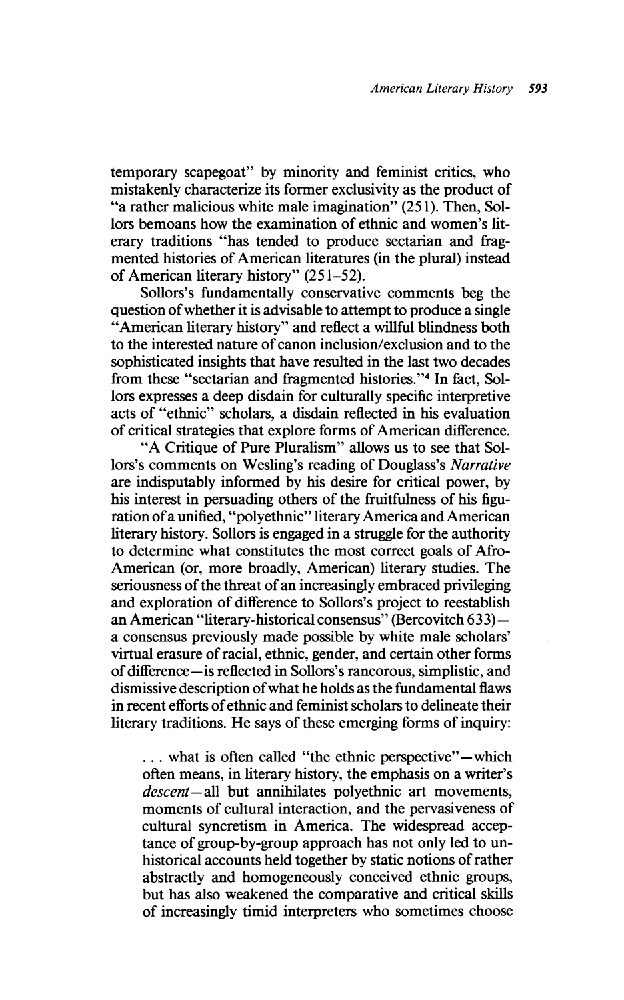**temporary scapegoat" by minority and feminist critics, who mistakenly characterize its former exclusivity as the product of "a rather malicious white male imagination" (251). Then, Sollors bemoans how the examination of ethnic and women's literary traditions "has tended to produce sectarian and fragmented histories of American literatures (in the plural) instead of American literary history" (251-52).** 

**Sollors's fundamentally conservative comments beg the question of whether it is advisable to attempt to produce a single "American literary history" and reflect a willful blindness both to the interested nature of canon inclusion/exclusion and to the sophisticated insights that have resulted in the last two decades from these "sectarian and fragmented histories."4 In fact, Sollors expresses a deep disdain for culturally specific interpretive acts of "ethnic" scholars, a disdain reflected in his evaluation of critical strategies that explore forms of American difference.** 

**"A Critique of Pure Pluralism" allows us to see that Sollors's comments on Wesling's reading of Douglass's Narrative are indisputably informed by his desire for critical power, by his interest in persuading others of the fruitfulness of his figuration of a unified, "polyethnic" literary America and American literary history. Sollors is engaged in a struggle for the authority to determine what constitutes the most correct goals of Afro-American (or, more broadly, American) literary studies. The seriousness of the threat of an increasingly embraced privileging and exploration of difference to Sollors's project to reestablish an American "literary-historical consensus" (Bercovitch 633) a consensus previously made possible by white male scholars' virtual erasure of racial, ethnic, gender, and certain other forms of difference-is reflected in Sollors's rancorous, simplistic, and dismissive description of what he holds as the fundamental flaws in recent efforts of ethnic and feminist scholars to delineate their literary traditions. He says of these emerging forms of inquiry:** 

**... what is often called "the ethnic perspective"- which often means, in literary history, the emphasis on a writer's descent-all but annihilates polyethnic art movements, moments of cultural interaction, and the pervasiveness of cultural syncretism in America. The widespread acceptance of group-by-group approach has not only led to unhistorical accounts held together by static notions of rather abstractly and homogeneously conceived ethnic groups, but has also weakened the comparative and critical skills of increasingly timid interpreters who sometimes choose**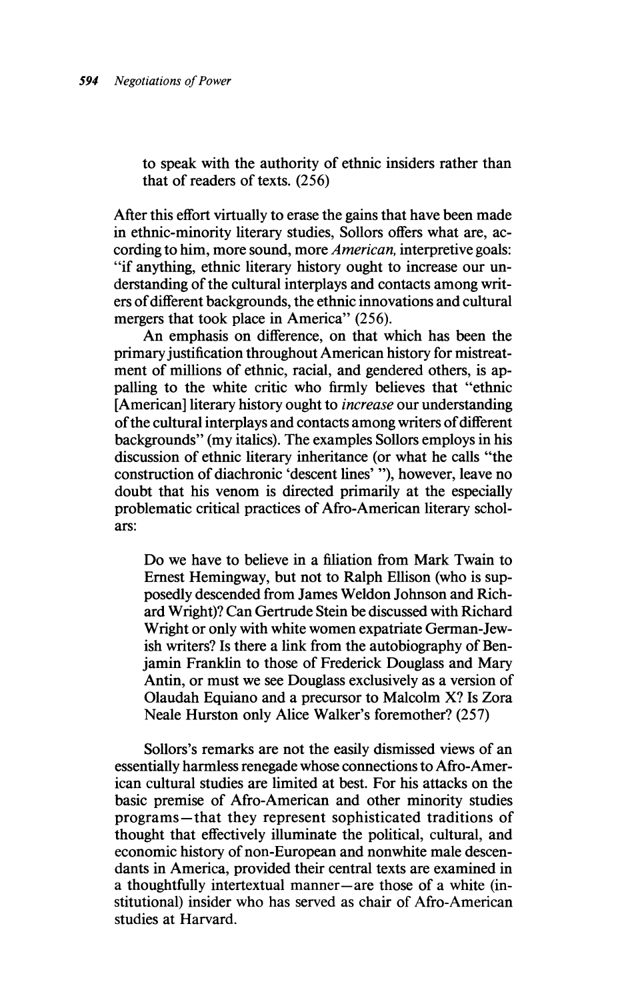**to speak with the authority of ethnic insiders rather than that of readers of texts. (256)** 

**After this effort virtually to erase the gains that have been made in ethnic-minority literary studies, Sollors offers what are, according to him, more sound, more American, interpretive goals: "if anything, ethnic literary history ought to increase our understanding of the cultural interplays and contacts among writers of different backgrounds, the ethnic innovations and cultural mergers that took place in America" (256).** 

**An emphasis on difference, on that which has been the primary justification throughout American history for mistreatment of millions of ethnic, racial, and gendered others, is appalling to the white critic who firmly believes that "ethnic [American] literary history ought to increase our understanding of the cultural interplays and contacts among writers of different backgrounds" (my italics). The examples Sollors employs in his discussion of ethnic literary inheritance (or what he calls "the construction of diachronic 'descent lines' "), however, leave no doubt that his venom is directed primarily at the especially problematic critical practices of Afro-American literary scholars:** 

**Do we have to believe in a filiation from Mark Twain to Ernest Hemingway, but not to Ralph Ellison (who is supposedly descended from James Weldon Johnson and Richard Wright)? Can Gertrude Stein be discussed with Richard Wright or only with white women expatriate German-Jewish writers? Is there a link from the autobiography of Benjamin Franklin to those of Frederick Douglass and Mary Antin, or must we see Douglass exclusively as a version of Olaudah Equiano and a precursor to Malcolm X? Is Zora Neale Hurston only Alice Walker's foremother? (257)** 

**Sollors's remarks are not the easily dismissed views of an essentially harmless renegade whose connections to Afro-American cultural studies are limited at best. For his attacks on the basic premise of Afro-American and other minority studies programs--that they represent sophisticated traditions of thought that effectively illuminate the political, cultural, and economic history of non-European and nonwhite male descendants in America, provided their central texts are examined in**  a thoughtfully intertextual manner—are those of a white (in**stitutional) insider who has served as chair of Afro-American studies at Harvard.**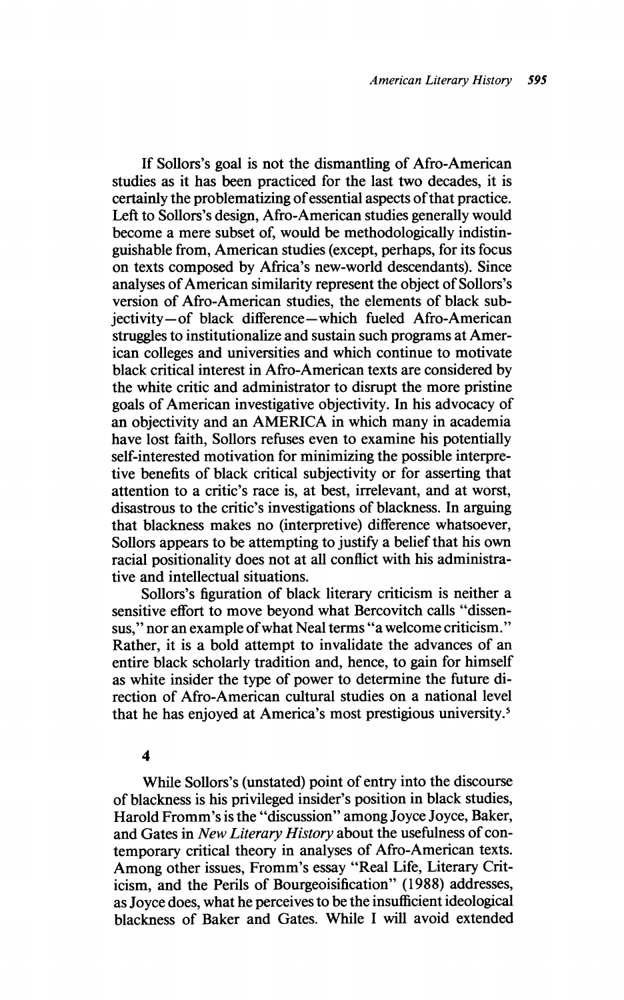**If Sollors's goal is not the dismantling of Afro-American studies as it has been practiced for the last two decades, it is certainly the problematizing of essential aspects of that practice. Left to Sollors's design, Afro-American studies generally would become a mere subset of, would be methodologically indistinguishable from, American studies (except, perhaps, for its focus on texts composed by Africa's new-world descendants). Since analyses of American similarity represent the object of Sollors's version of Afro-American studies, the elements of black subjectivity-of black difference-which fueled Afro-American struggles to institutionalize and sustain such programs at American colleges and universities and which continue to motivate black critical interest in Afro-American texts are considered by the white critic and administrator to disrupt the more pristine goals of American investigative objectivity. In his advocacy of an objectivity and an AMERICA in which many in academia have lost faith, Sollors refuses even to examine his potentially self-interested motivation for minimizing the possible interpretive benefits of black critical subjectivity or for asserting that attention to a critic's race is, at best, irrelevant, and at worst, disastrous to the critic's investigations of blackness. In arguing that blackness makes no (interpretive) difference whatsoever, Sollors appears to be attempting to justify a belief that his own racial positionality does not at all conflict with his administrative and intellectual situations.** 

**Sollors's figuration of black literary criticism is neither a sensitive effort to move beyond what Bercovitch calls "dissensus," nor an example of what Neal terms "a welcome criticism." Rather, it is a bold attempt to invalidate the advances of an entire black scholarly tradition and, hence, to gain for himself as white insider the type of power to determine the future direction of Afro-American cultural studies on a national level that he has enjoyed at America's most prestigious university.5** 

# **4**

**While Sollors's (unstated) point of entry into the discourse of blackness is his privileged insider's position in black studies, Harold Fromm's is the "discussion" among Joyce Joyce, Baker, and Gates in New Literary History about the usefulness of contemporary critical theory in analyses of Afro-American texts. Among other issues, Fromm's essay "Real Life, Literary Criticism, and the Perils of Bourgeoisification" (1988) addresses, as Joyce does, what he perceives to be the insufficient ideological blackness of Baker and Gates. While I will avoid extended**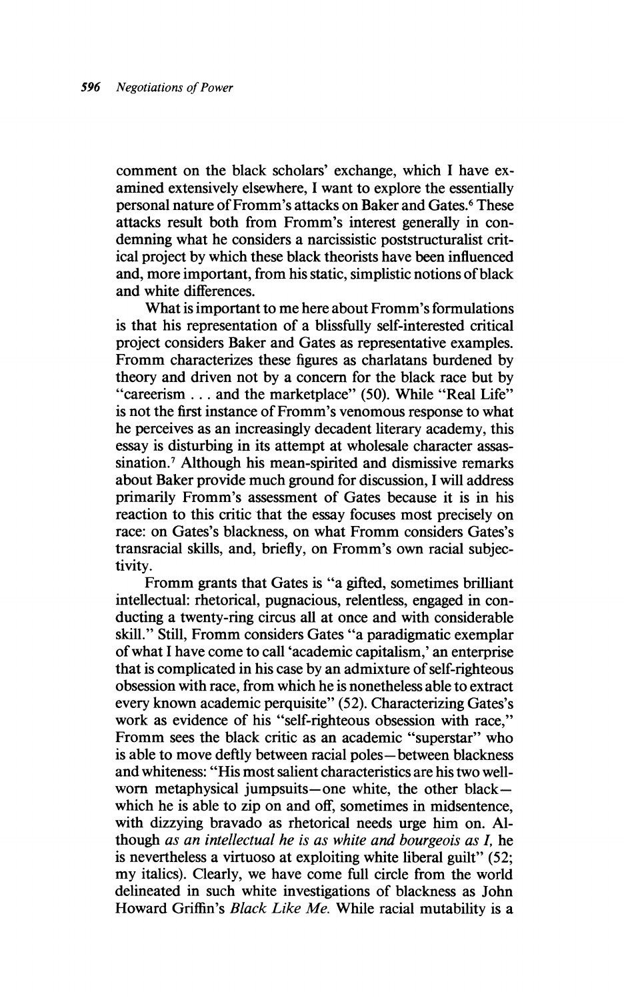**comment on the black scholars' exchange, which I have examined extensively elsewhere, I want to explore the essentially personal nature ofFromm's attacks on Baker and Gates.6 These attacks result both from Fromm's interest generally in condemning what he considers a narcissistic poststructuralist critical project by which these black theorists have been influenced and, more important, from his static, simplistic notions of black and white differences.** 

**What is important to me here about Fromm's formulations is that his representation of a blissfully self-interested critical project considers Baker and Gates as representative examples. Fromm characterizes these figures as charlatans burdened by theory and driven not by a concern for the black race but by "careerism ... and the marketplace" (50). While "Real Life" is not the first instance of Fromm's venomous response to what he perceives as an increasingly decadent literary academy, this essay is disturbing in its attempt at wholesale character assassination.7 Although his mean-spirited and dismissive remarks about Baker provide much ground for discussion, I will address primarily Fromm's assessment of Gates because it is in his reaction to this critic that the essay focuses most precisely on race: on Gates's blackness, on what Fromm considers Gates's transracial skills, and, briefly, on Fromm's own racial subjectivity.** 

**Fromm grants that Gates is "a gifted, sometimes brilliant intellectual: rhetorical, pugnacious, relentless, engaged in conducting a twenty-ring circus all at once and with considerable skill." Still, Fromm considers Gates "a paradigmatic exemplar of what I have come to call 'academic capitalism,' an enterprise that is complicated in his case by an admixture of self-righteous obsession with race, from which he is nonetheless able to extract every known academic perquisite" (52). Characterizing Gates's work as evidence of his "self-righteous obsession with race," Fromm sees the black critic as an academic "superstar" who is able to move deftly between racial poles-between blackness and whiteness: "His most salient characteristics are his two well**worn metaphysical jumpsuits-one white, the other black**which he is able to zip on and off, sometimes in midsentence, with dizzying bravado as rhetorical needs urge him on. Although as an intellectual he is as white and bourgeois as I, he is nevertheless a virtuoso at exploiting white liberal guilt" (52; my italics). Clearly, we have come full circle from the world delineated in such white investigations of blackness as John Howard Griffin's Black Like Me. While racial mutability is a**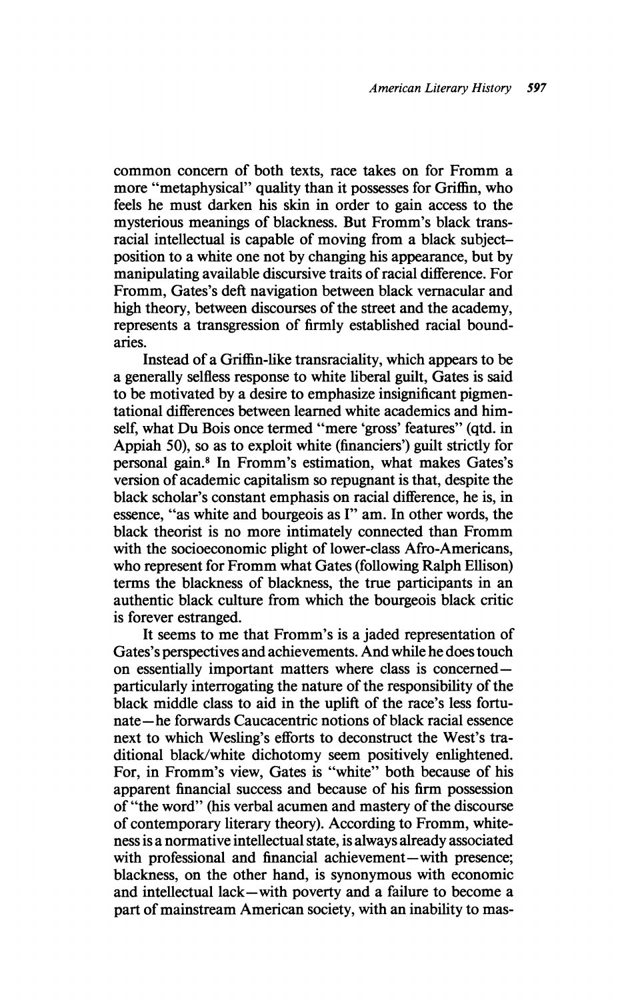**common concern of both texts, race takes on for Fromm a more "metaphysical" quality than it possesses for Griffin, who feels he must darken his skin in order to gain access to the mysterious meanings of blackness. But Fromm's black transracial intellectual is capable of moving from a black subjectposition to a white one not by changing his appearance, but by manipulating available discursive traits of racial difference. For Fromm, Gates's deft navigation between black vernacular and high theory, between discourses of the street and the academy, represents a transgression of firmly established racial boundaries.** 

**Instead of a Griffin-like transraciality, which appears to be a generally selfless response to white liberal guilt, Gates is said to be motivated by a desire to emphasize insignificant pigmentational differences between learned white academics and himself, what Du Bois once termed "mere 'gross' features" (qtd. in Appiah 50), so as to exploit white (financiers') guilt strictly for personal gain.8 In Fromm's estimation, what makes Gates's version of academic capitalism so repugnant is that, despite the black scholar's constant emphasis on racial difference, he is, in essence, "as white and bourgeois as I" am. In other words, the black theorist is no more intimately connected than Fromm with the socioeconomic plight of lower-class Afro-Americans, who represent for Fromm what Gates (following Ralph Ellison) terms the blackness of blackness, the true participants in an authentic black culture from which the bourgeois black critic is forever estranged.** 

**It seems to me that Fromm's is a jaded representation of Gates's perspectives and achievements. And while he does touch on essentially important matters where class is concernedparticularly interrogating the nature of the responsibility of the black middle class to aid in the uplift of the race's less fortunate-he forwards Caucacentric notions of black racial essence next to which Wesling's efforts to deconstruct the West's traditional black/white dichotomy seem positively enlightened. For, in Fromm's view, Gates is "white" both because of his apparent financial success and because of his firm possession of "the word" (his verbal acumen and mastery of the discourse of contemporary literary theory). According to Fromm, whiteness is a normative intellectual state, is always already associated with professional and financial achievement-with presence; blackness, on the other hand, is synonymous with economic and intellectual lack-with poverty and a failure to become a part of mainstream American society, with an inability to mas-**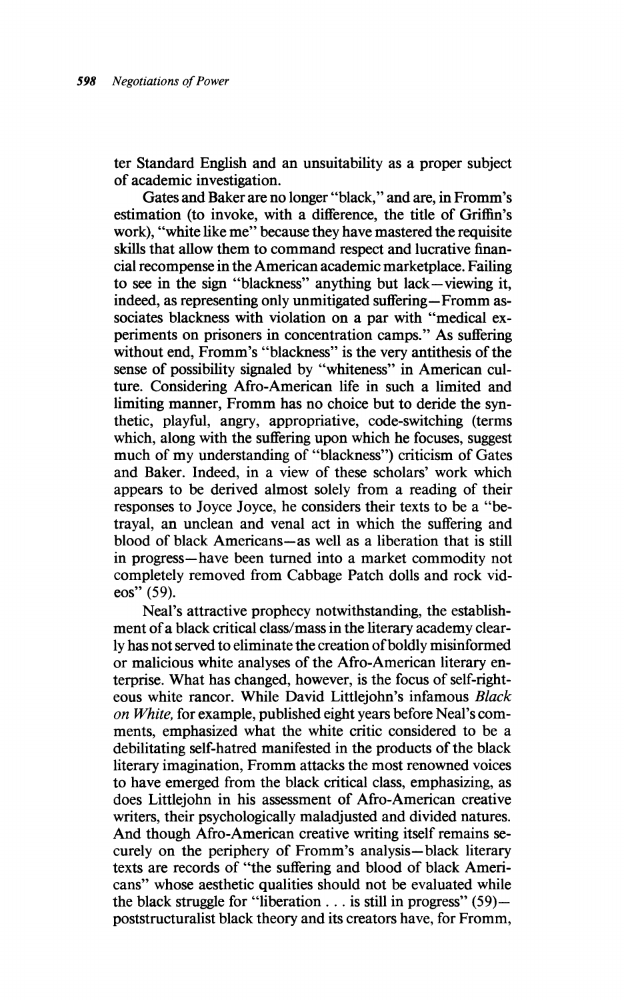**ter Standard English and an unsuitability as a proper subject of academic investigation.** 

**Gates and Baker are no longer "black," and are, in Fromm's estimation (to invoke, with a difference, the title of Griffin's work), "white like me" because they have mastered the requisite skills that allow them to command respect and lucrative financial recompense in the American academic marketplace. Failing to see in the sign "blackness" anything but lack-viewing it, indeed, as representing only unmitigated suffering-Fromm associates blackness with violation on a par with "medical experiments on prisoners in concentration camps." As suffering without end, Fromm's "blackness" is the very antithesis of the sense of possibility signaled by "whiteness" in American culture. Considering Afro-American life in such a limited and limiting manner, Fromm has no choice but to deride the synthetic, playful, angry, appropriative, code-switching (terms which, along with the suffering upon which he focuses, suggest much of my understanding of "blackness") criticism of Gates and Baker. Indeed, in a view of these scholars' work which appears to be derived almost solely from a reading of their responses to Joyce Joyce, he considers their texts to be a "betrayal, an unclean and venal act in which the suffering and blood of black Americans-as well as a liberation that is still in progress-have been turned into a market commodity not completely removed from Cabbage Patch dolls and rock videos" (59).** 

**Neal's attractive prophecy notwithstanding, the establishment of a black critical class/mass in the literary academy clearly has not served to eliminate the creation of boldly misinformed or malicious white analyses of the Afro-American literary enterprise. What has changed, however, is the focus of self-righteous white rancor. While David Littlejohn's infamous Black on White, for example, published eight years before Neal's comments, emphasized what the white critic considered to be a debilitating self-hatred manifested in the products of the black literary imagination, Fromm attacks the most renowned voices to have emerged from the black critical class, emphasizing, as does Littlejohn in his assessment of Afro-American creative writers, their psychologically maladjusted and divided natures. And though Afro-American creative writing itself remains securely on the periphery of Fromm's analysis-black literary texts are records of "the suffering and blood of black Americans" whose aesthetic qualities should not be evaluated while the black struggle for "liberation ... is still in progress" (59) poststructuralist black theory and its creators have, for Fromm,**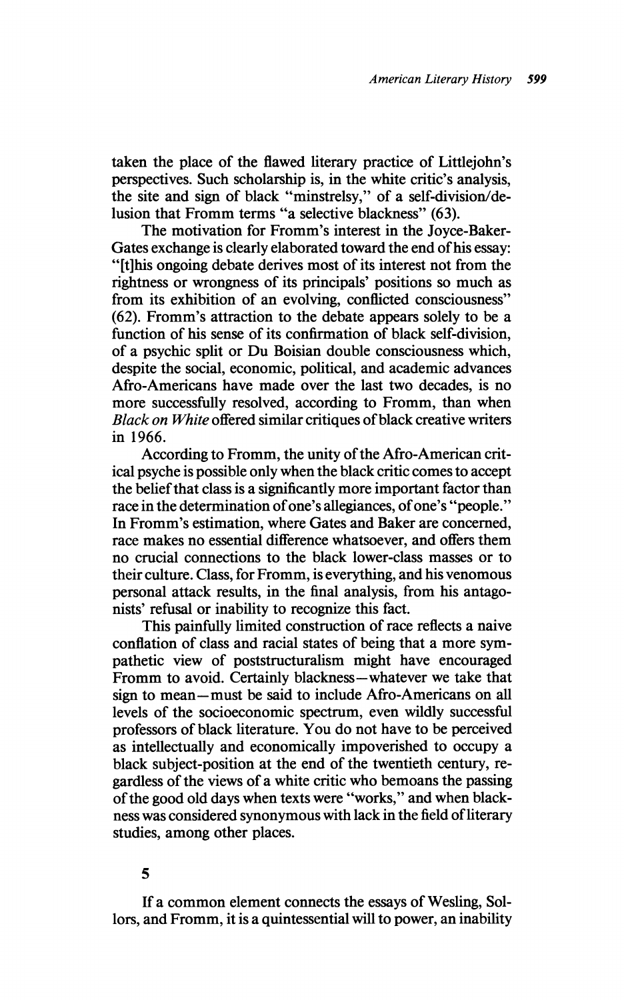**taken the place of the flawed literary practice of Littlejohn's perspectives. Such scholarship is, in the white critic's analysis, the site and sign of black "minstrelsy," of a self-division/delusion that Fromm terms "a selective blackness" (63).** 

**The motivation for Fromm's interest in the Joyce-Baker-Gates exchange is clearly elaborated toward the end of his essay: "[t]his ongoing debate derives most of its interest not from the rightness or wrongness of its principals' positions so much as from its exhibition of an evolving, conflicted consciousness" (62). Fromm's attraction to the debate appears solely to be a function of his sense of its confirmation of black self-division, of a psychic split or Du Boisian double consciousness which, despite the social, economic, political, and academic advances Afro-Americans have made over the last two decades, is no more successfully resolved, according to Fromm, than when Black on White offered similar critiques of black creative writers in 1966.** 

**According to Fromm, the unity of the Afro-American critical psyche is possible only when the black critic comes to accept the belief that class is a significantly more important factor than race in the determination of one's allegiances, of one's "people." In Fromm's estimation, where Gates and Baker are concerned, race makes no essential difference whatsoever, and offers them no crucial connections to the black lower-class masses or to their culture. Class, for Fromm, is everything, and his venomous personal attack results, in the final analysis, from his antagonists' refusal or inability to recognize this fact.** 

**This painfully limited construction of race reflects a naive conflation of class and racial states of being that a more sympathetic view of poststructuralism might have encouraged**  Fromm to avoid. Certainly blackness-whatever we take that **sign to mean-must be said to include Afro-Americans on all levels of the socioeconomic spectrum, even wildly successful professors of black literature. You do not have to be perceived as intellectually and economically impoverished to occupy a black subject-position at the end of the twentieth century, regardless of the views of a white critic who bemoans the passing of the good old days when texts were "works," and when blackness was considered synonymous with lack in the field of literary studies, among other places.** 

## **5**

**If a common element connects the essays of Wesling, Sollors, and Fromm, it is a quintessential will to power, an inability**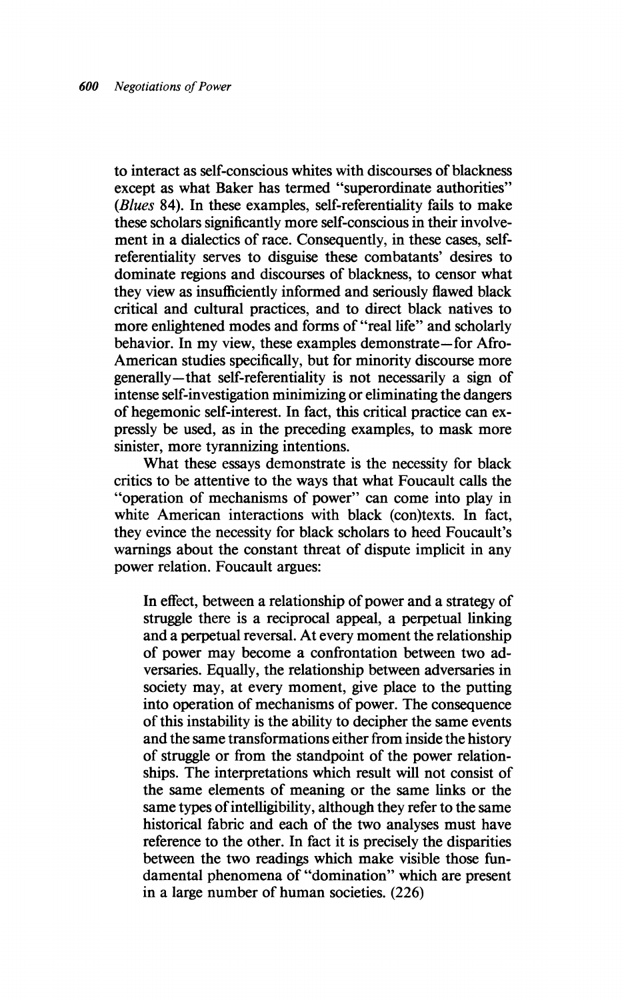**to interact as self-conscious whites with discourses of blackness except as what Baker has termed "superordinate authorities" (Blues 84). In these examples, self-referentiality fails to make these scholars significantly more self-conscious in their involvement in a dialectics of race. Consequently, in these cases, selfreferentiality serves to disguise these combatants' desires to dominate regions and discourses of blackness, to censor what they view as insufficiently informed and seriously flawed black critical and cultural practices, and to direct black natives to more enlightened modes and forms of "real life" and scholarly**  behavior. In my view, these examples demonstrate—for Afro-**American studies specifically, but for minority discourse more generally-that self-referentiality is not necessarily a sign of intense self-investigation minimizing or eliminating the dangers of hegemonic self-interest. In fact, this critical practice can expressly be used, as in the preceding examples, to mask more sinister, more tyrannizing intentions.** 

**What these essays demonstrate is the necessity for black critics to be attentive to the ways that what Foucault calls the "operation of mechanisms of power" can come into play in white American interactions with black (con)texts. In fact, they evince the necessity for black scholars to heed Foucault's warnings about the constant threat of dispute implicit in any power relation. Foucault argues:** 

**In effect, between a relationship of power and a strategy of struggle there is a reciprocal appeal, a perpetual linking and a perpetual reversal. At every moment the relationship of power may become a confrontation between two adversaries. Equally, the relationship between adversaries in society may, at every moment, give place to the putting into operation of mechanisms of power. The consequence of this instability is the ability to decipher the same events and the same transformations either from inside the history of struggle or from the standpoint of the power relationships. The interpretations which result will not consist of the same elements of meaning or the same links or the same types of intelligibility, although they refer to the same historical fabric and each of the two analyses must have reference to the other. In fact it is precisely the disparities between the two readings which make visible those fundamental phenomena of "domination" which are present in a large number of human societies. (226)**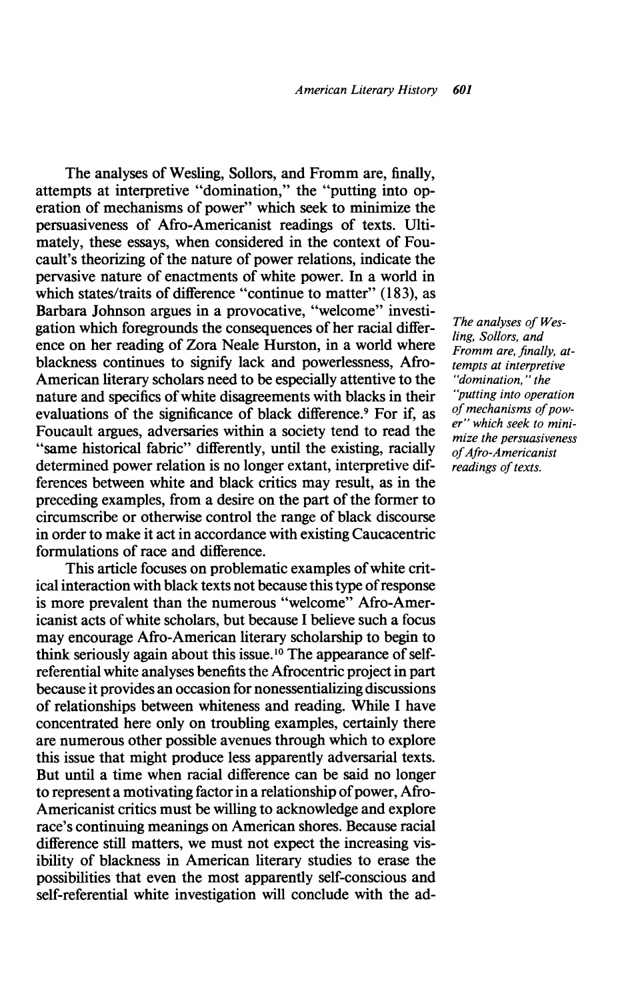**The analyses of Wesling, Sollors, and Fromm are, finally, attempts at interpretive "domination," the "putting into operation of mechanisms of power" which seek to minimize the persuasiveness of Afro-Americanist readings of texts. Ultimately, these essays, when considered in the context of Foucault's theorizing of the nature of power relations, indicate the pervasive nature of enactments of white power. In a world in which states/traits of difference "continue to matter" (183), as Barbara Johnson argues in a provocative, "welcome" investigation which foregrounds the consequences of her racial difference on her reading of Zora Neale Hurston, in a world where blackness continues to signify lack and powerlessness, Afro-American literary scholars need to be especially attentive to the nature and specifics of white disagreements with blacks in their evaluations of the significance of black difference.9 For if, as Foucault argues, adversaries within a society tend to read the "same historical fabric" differently, until the existing, racially determined power relation is no longer extant, interpretive differences between white and black critics may result, as in the preceding examples, from a desire on the part of the former to circumscribe or otherwise control the range of black discourse in order to make it act in accordance with existing Caucacentric formulations of race and difference.** 

**This article focuses on problematic examples of white critical interaction with black texts not because this type of response is more prevalent than the numerous "welcome" Afro-Americanist acts of white scholars, but because I believe such a focus may encourage Afro-American literary scholarship to begin to think seriously again about this issue.'0 The appearance of selfreferential white analyses benefits the Afrocentric project in part because it provides an occasion for nonessentializing discussions of relationships between whiteness and reading. While I have concentrated here only on troubling examples, certainly there are numerous other possible avenues through which to explore this issue that might produce less apparently adversarial texts. But until a time when racial difference can be said no longer to represent a motivating factor in a relationship of power, Afro-Americanist critics must be willing to acknowledge and explore race's continuing meanings on American shores. Because racial difference still matters, we must not expect the increasing visibility of blackness in American literary studies to erase the possibilities that even the most apparently self-conscious and self-referential white investigation will conclude with the ad-**

**The analyses of Wesling, Sollors, and Fromm are, finally, attempts at interpretive "domination," the "putting into operation of mechanisms of power" which seek to minimize the persuasiveness ofAfro-Americanist readings of texts.**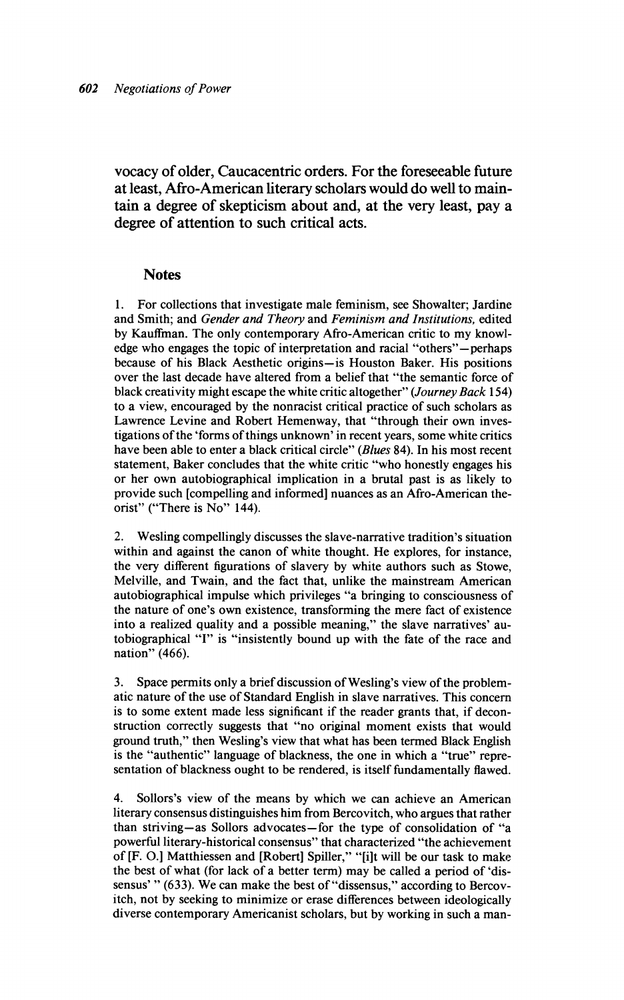**vocacy of older, Caucacentric orders. For the foreseeable future at least, Afro-American literary scholars would do well to maintain a degree of skepticism about and, at the very least, pay a degree of attention to such critical acts.** 

### **Notes**

**1. For collections that investigate male feminism, see Showalter; Jardine and Smith; and Gender and Theory and Feminism and Institutions, edited by Kauffman. The only contemporary Afro-American critic to my knowledge who engages the topic of interpretation and racial "others"-perhaps because of his Black Aesthetic origins-is Houston Baker. His positions over the last decade have altered from a belief that "the semantic force of black creativity might escape the white critic altogether" (Journey Back 154) to a view, encouraged by the nonracist critical practice of such scholars as Lawrence Levine and Robert Hemenway, that "through their own investigations of the 'forms of things unknown' in recent years, some white critics have been able to enter a black critical circle" (Blues 84). In his most recent statement, Baker concludes that the white critic "who honestly engages his or her own autobiographical implication in a brutal past is as likely to provide such [compelling and informed] nuances as an Afro-American theorist" ("There is No" 144).** 

**2. Wesling compellingly discusses the slave-narrative tradition's situation within and against the canon of white thought. He explores, for instance, the very different figurations of slavery by white authors such as Stowe, Melville, and Twain, and the fact that, unlike the mainstream American autobiographical impulse which privileges "a bringing to consciousness of the nature of one's own existence, transforming the mere fact of existence into a realized quality and a possible meaning," the slave narratives' autobiographical "I" is "insistently bound up with the fate of the race and nation" (466).** 

**3. Space permits only a brief discussion of Wesling's view of the problematic nature of the use of Standard English in slave narratives. This concern is to some extent made less significant if the reader grants that, if deconstruction correctly suggests that "no original moment exists that would ground truth," then Wesling's view that what has been termed Black English is the "authentic" language of blackness, the one in which a "true" representation of blackness ought to be rendered, is itself fundamentally flawed.** 

**4. Sollors's view of the means by which we can achieve an American literary consensus distinguishes him from Bercovitch, who argues that rather than striving-as Sollors advocates-for the type of consolidation of "a powerful literary-historical consensus" that characterized "the achievement of [F. O.] Matthiessen and [Robert] Spiller," "[i]t will be our task to make the best of what (for lack of a better term) may be called a period of 'dis**sensus' " (633). We can make the best of "dissensus," according to Bercov**itch, not by seeking to minimize or erase differences between ideologically diverse contemporary Americanist scholars, but by working in such a man-**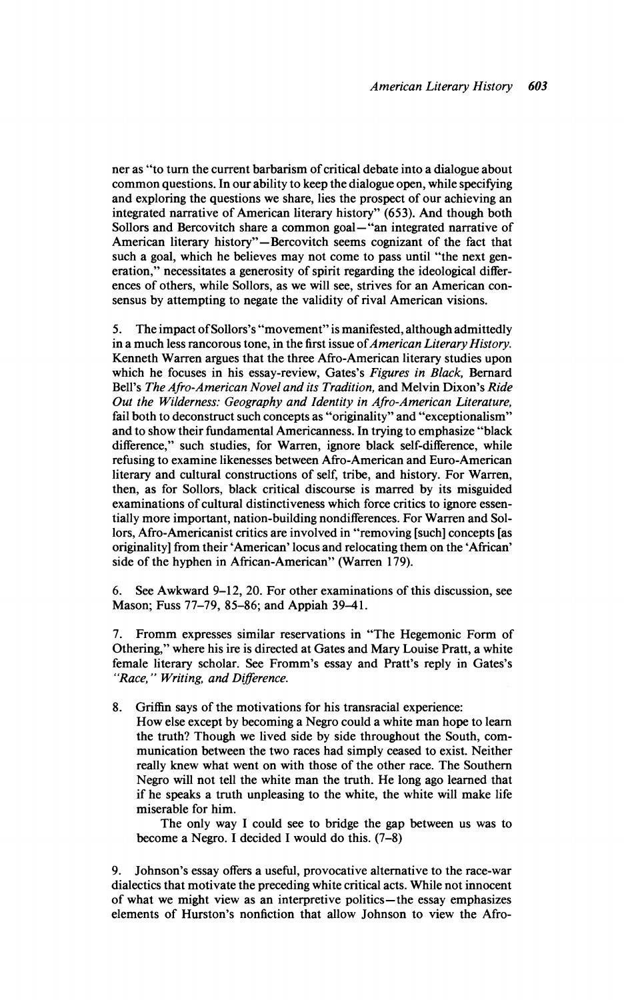**ner as "to turn the current barbarism of critical debate into a dialogue about common questions. In our ability to keep the dialogue open, while specifying and exploring the questions we share, lies the prospect of our achieving an integrated narrative of American literary history" (653). And though both**  Sollors and Bercovitch share a common goal-"an integrated narrative of **American literary history"-Bercovitch seems cognizant of the fact that such a goal, which he believes may not come to pass until "the next generation," necessitates a generosity of spirit regarding the ideological differences of others, while Sollors, as we will see, strives for an American consensus by attempting to negate the validity of rival American visions.** 

**5. The impact ofSollors's "movement" is manifested, although admittedly**  in a much less rancorous tone, in the first issue of *American Literary History*. **Kenneth Warren argues that the three Afro-American literary studies upon which he focuses in his essay-review, Gates's Figures in Black, Bernard Bell's The Afro-American Novel and its Tradition, and Melvin Dixon's Ride Out the Wilderness: Geography and Identity in Afro-American Literature, fail both to deconstruct such concepts as "originality" and "exceptionalism" and to show their fundamental Americanness. In trying to emphasize "black difference," such studies, for Warren, ignore black self-difference, while refusing to examine likenesses between Afro-American and Euro-American literary and cultural constructions of self, tribe, and history. For Warren, then, as for Sollors, black critical discourse is marred by its misguided examinations of cultural distinctiveness which force critics to ignore essentially more important, nation-building nondifferences. For Warren and Sollors, Afro-Americanist critics are involved in "removing [such] concepts [as originality] from their 'American' locus and relocating them on the 'African' side of the hyphen in African-American" (Warren 179).** 

**6. See Awkward 9-12, 20. For other examinations of this discussion, see Mason; Fuss 77-79, 85-86; and Appiah 39-41.** 

**7. Fromm expresses similar reservations in "The Hegemonic Form of Othering," where his ire is directed at Gates and Mary Louise Pratt, a white female literary scholar. See Fromm's essay and Pratt's reply in Gates's "Race," Writing, and Difference.** 

**8. Griffin says of the motivations for his transracial experience:** 

**How else except by becoming a Negro could a white man hope to learn the truth? Though we lived side by side throughout the South, communication between the two races had simply ceased to exist. Neither really knew what went on with those of the other race. The Southern Negro will not tell the white man the truth. He long ago learned that if he speaks a truth unpleasing to the white, the white will make life miserable for him.** 

**The only way I could see to bridge the gap between us was to become a Negro. I decided I would do this. (7-8)** 

**9. Johnson's essay offers a useful, provocative alternative to the race-war dialectics that motivate the preceding white critical acts. While not innocent of what we might view as an interpretive politics-the essay emphasizes elements of Hurston's nonfiction that allow Johnson to view the Afro-**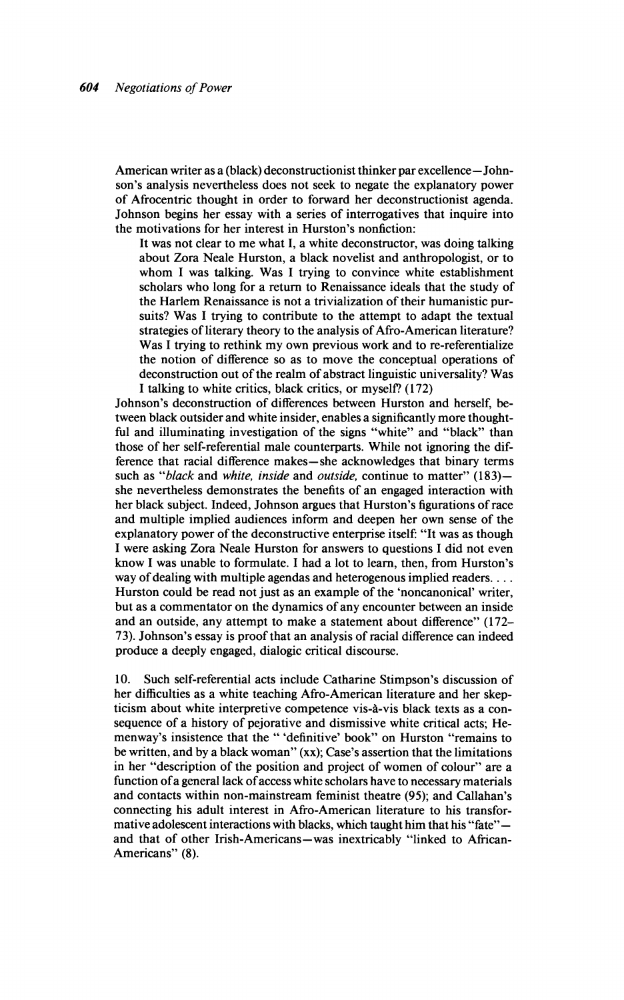American writer as a (black) deconstructionist thinker par excellence—John**son's analysis nevertheless does not seek to negate the explanatory power of Afrocentric thought in order to forward her deconstructionist agenda. Johnson begins her essay with a series of interrogatives that inquire into the motivations for her interest in Hurston's nonfiction:** 

**It was not clear to me what I, a white deconstructor, was doing talking about Zora Neale Hurston, a black novelist and anthropologist, or to whom I was talking. Was I trying to convince white establishment scholars who long for a return to Renaissance ideals that the study of the Harlem Renaissance is not a trivialization of their humanistic pursuits? Was I trying to contribute to the attempt to adapt the textual strategies of literary theory to the analysis of Afro-American literature? Was I trying to rethink my own previous work and to re-referentialize the notion of difference so as to move the conceptual operations of deconstruction out of the realm of abstract linguistic universality? Was I talking to white critics, black critics, or myself? (172)** 

**Johnson's deconstruction of differences between Hurston and herself, between black outsider and white insider, enables a significantly more thoughtful and illuminating investigation of the signs "white" and "black" than those of her self-referential male counterparts. While not ignoring the difference that racial difference makes-she acknowledges that binary terms**  such as "*black* and *white, inside* and *outside*, continue to matter" (183) **she nevertheless demonstrates the benefits of an engaged interaction with her black subject. Indeed, Johnson argues that Hurston's figurations of race and multiple implied audiences inform and deepen her own sense of the explanatory power of the deconstructive enterprise itself: "It was as though I were asking Zora Neale Hurston for answers to questions I did not even know I was unable to formulate. I had a lot to learn, then, from Hurston's way of dealing with multiple agendas and heterogenous implied readers.... Hurston could be read not just as an example of the 'noncanonical' writer, but as a commentator on the dynamics of any encounter between an inside and an outside, any attempt to make a statement about difference" (172- 73). Johnson's essay is proof that an analysis of racial difference can indeed produce a deeply engaged, dialogic critical discourse.** 

**10. Such self-referential acts include Catharine Stimpson's discussion of her difficulties as a white teaching Afro-American literature and her skep**ticism about white interpretive competence vis-à-vis black texts as a con**sequence of a history of pejorative and dismissive white critical acts; Hemenway's insistence that the "'definitive' book" on Hurston "remains to be written, and by a black woman" (xx); Case's assertion that the limitations in her "description of the position and project of women of colour" are a function of a general lack of access white scholars have to necessary materials and contacts within non-mainstream feminist theatre (95); and Callahan's connecting his adult interest in Afro-American literature to his transfor**mative adolescent interactions with blacks, which taught him that his "fate"**and that of other Irish-Americans-was inextricably "linked to African-Americans" (8).**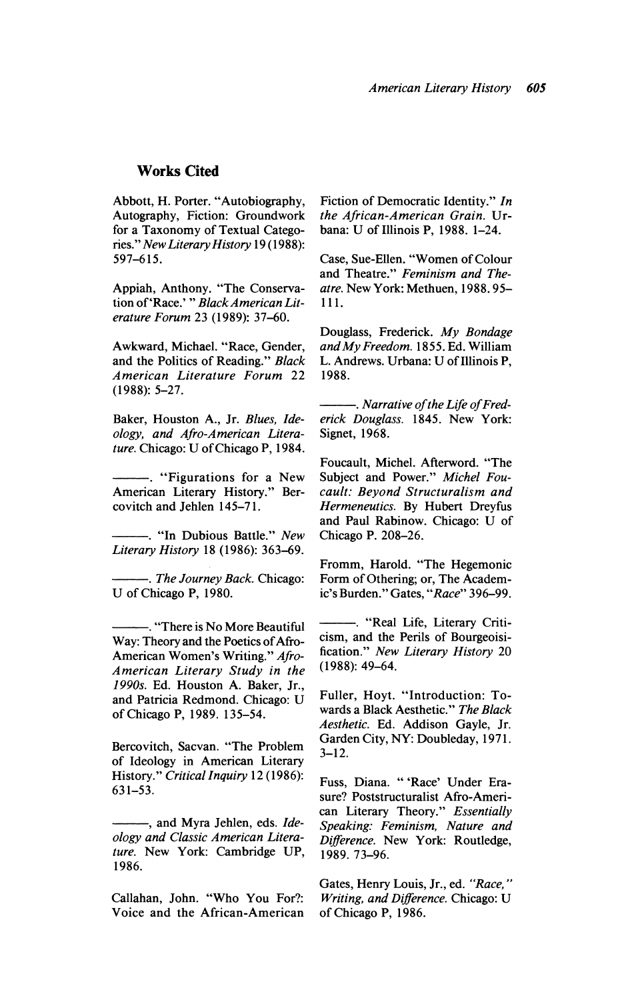#### **Works Cited**

**Abbott, H. Porter. "Autobiography, Autography, Fiction: Groundwork for a Taxonomy of Textual Categories." New Literary History 19 (1988): 597-615.** 

**Appiah, Anthony. "The Conservation of'Race.' " BlackAmerican Literature Forum 23 (1989): 37-60.** 

**Awkward, Michael. "Race, Gender, and the Politics of Reading." Black American Literature Forum 22 (1988): 5-27.** 

**Baker, Houston A., Jr. Blues, Ideology, and Afro-American Literature. Chicago: U of Chicago P, 1984.** 

**. "Figurations for a New American Literary History." Bercovitch and Jehlen 145-71.** 

**. "In Dubious Battle." New Literary History 18 (1986): 363-69.** 

**.The Journey Back. Chicago: U of Chicago P, 1980.** 

**. "There is No More Beautiful Way: Theory and the Poetics of Afro-American Women's Writing." Afro-American Literary Study in the 1990s. Ed. Houston A. Baker, Jr., and Patricia Redmond. Chicago: U of ChicagoP, 1989. 135-54.** 

**Bercovitch, Sacvan. "The Problem of Ideology in American Literary History." Critical Inquiry 12 (1986): 631-53.** 

-, and Myra Jehlen, eds. Ide**ology and Classic American Literature. New York: Cambridge UP, 1986.** 

**Callahan, John. "Who You For?: Voice and the African-American**  **Fiction of Democratic Identity." In the African-American Grain. Urbana: U of Illinois P, 1988. 1-24.** 

**Case, Sue-Ellen. "Women of Colour and Theatre." Feminism and Theatre. New York: Methuen, 1988.95- 111.** 

**Douglass, Frederick. My Bondage and My Freedom. 1855. Ed. William L. Andrews. Urbana: U of Illinois P, 1988.** 

**. Narrative of the Life of Frederick Douglass. 1845. New York: Signet, 1968.** 

**Foucault, Michel. Afterword. "The Subject and Power." Michel Foucault: Beyond Structuralism and Hermeneutics. By Hubert Dreyfus and Paul Rabinow. Chicago: U of Chicago P. 208-26.** 

**Fromm, Harold. "The Hegemonic Form of Othering; or, The Academic's Burden." Gates, "Race" 396-99.** 

**. "Real Life, Literary Criticism, and the Perils of Bourgeoisification." New Literary History 20 (1988): 49-64.** 

**Fuller, Hoyt. "Introduction: Towards a Black Aesthetic." The Black Aesthetic. Ed. Addison Gayle, Jr. Garden City, NY: Doubleday, 1971. 3-12.** 

**Fuss, Diana. "'Race' Under Erasure? Poststructuralist Afro-American Literary Theory." Essentially Speaking: Feminism, Nature and Difference. New York: Routledge, 1989. 73-96.** 

**Gates, Henry Louis, Jr., ed. "Race," Writing, and Difference. Chicago: U of Chicago P, 1986.**